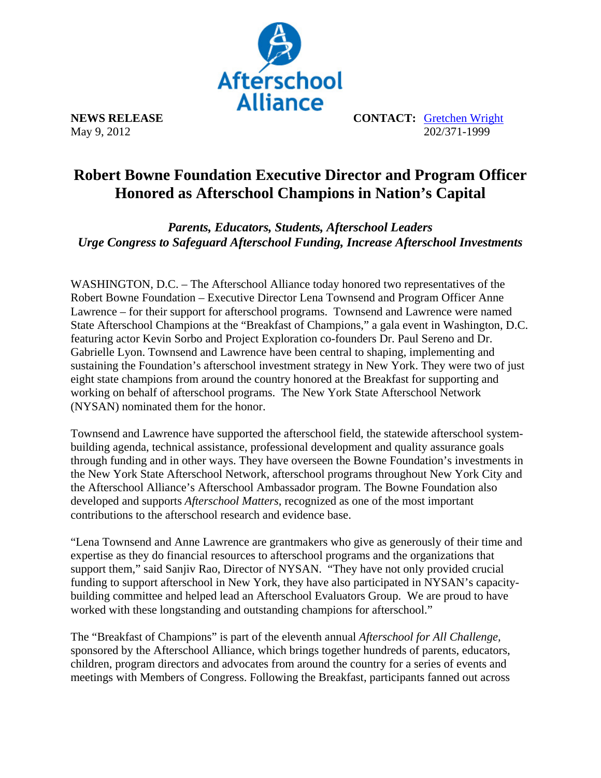

May 9, 2012

**NEWS RELEASE CONTACT: Gretchen Wright**<br>May 9, 2012<br>202/371-1999

## **Robert Bowne Foundation Executive Director and Program Officer Honored as Afterschool Champions in Nation's Capital**

*Parents, Educators, Students, Afterschool Leaders Urge Congress to Safeguard Afterschool Funding, Increase Afterschool Investments* 

WASHINGTON, D.C. – The Afterschool Alliance today honored two representatives of the Robert Bowne Foundation – Executive Director Lena Townsend and Program Officer Anne Lawrence – for their support for afterschool programs. Townsend and Lawrence were named State Afterschool Champions at the "Breakfast of Champions," a gala event in Washington, D.C. featuring actor Kevin Sorbo and Project Exploration co-founders Dr. Paul Sereno and Dr. Gabrielle Lyon. Townsend and Lawrence have been central to shaping, implementing and sustaining the Foundation's afterschool investment strategy in New York. They were two of just eight state champions from around the country honored at the Breakfast for supporting and working on behalf of afterschool programs. The New York State Afterschool Network (NYSAN) nominated them for the honor.

Townsend and Lawrence have supported the afterschool field, the statewide afterschool systembuilding agenda, technical assistance, professional development and quality assurance goals through funding and in other ways. They have overseen the Bowne Foundation's investments in the New York State Afterschool Network, afterschool programs throughout New York City and the Afterschool Alliance's Afterschool Ambassador program. The Bowne Foundation also developed and supports *Afterschool Matters*, recognized as one of the most important contributions to the afterschool research and evidence base.

"Lena Townsend and Anne Lawrence are grantmakers who give as generously of their time and expertise as they do financial resources to afterschool programs and the organizations that support them," said Sanjiv Rao, Director of NYSAN. "They have not only provided crucial funding to support afterschool in New York, they have also participated in NYSAN's capacitybuilding committee and helped lead an Afterschool Evaluators Group. We are proud to have worked with these longstanding and outstanding champions for afterschool."

The "Breakfast of Champions" is part of the eleventh annual *Afterschool for All Challenge,* sponsored by the Afterschool Alliance, which brings together hundreds of parents, educators, children, program directors and advocates from around the country for a series of events and meetings with Members of Congress. Following the Breakfast, participants fanned out across